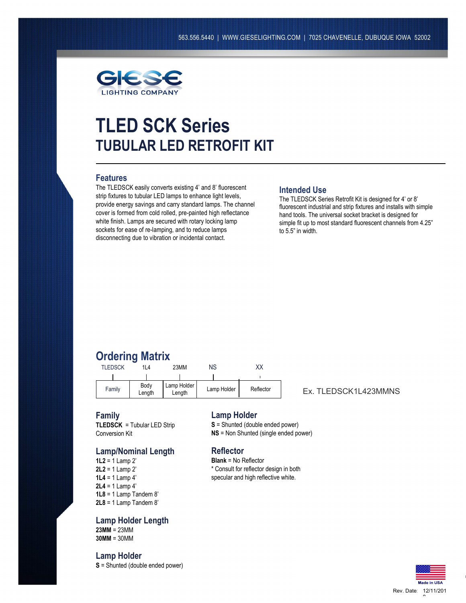

# **TLED SCK Series TUBULAR LED RETROFIT KIT**

## **Features**

The TLEDSCK easily converts existing 4' and 8' fluorescent strip fixtures to tubular LED lamps to enhance light levels, provide energy savings and carry standard lamps. The channel cover is formed from cold rolled, pre-painted high reflectance white finish. Lamps are secured with rotary locking lamp sockets for ease of re-lamping, and to reduce lamps disconnecting due to vibration or incidental contact.

### **Intended Use**

The TLEDSCK Series Retrofit Kit is designed for 4' or 8' fluorescent industrial and strip fixtures and installs with simple hand tools. The universal socket bracket is designed for simple fit up to most standard fluorescent channels from 4.25" to 5.5" in width.

## **Ordering Matrix**

| <b>TLEDSCK</b> | 1L4            | 23MM                  | ΝS          | XХ        |
|----------------|----------------|-----------------------|-------------|-----------|
|                |                |                       |             |           |
| Family         | Body<br>Length | Lamp Holder<br>Length | Lamp Holder | Reflector |

Ex. TLEDSCK1L423MMNS

#### **Family**

**TLEDSCK** = Tubular LED Strip Conversion Kit

### **Lamp/Nominal Length**

**1L2** = 1 Lamp 2' **2L2** = 1 Lamp 2' **1L4** = 1 Lamp 4' **2L4** = 1 Lamp 4' **1L8** = 1 Lamp Tandem 8' **2L8** = 1 Lamp Tandem 8'

**Lamp Holder Length 23MM** = 23MM **30MM** = 30MM

## **Lamp Holder**

**S** = Shunted (double ended power)

### **Lamp Holder**

- **S** = Shunted (double ended power)
- **NS** = Non Shunted (single ended power)

## **Reflector**

**Blank** = No Reflector \* Consult for reflector design in both specular and high reflective white.